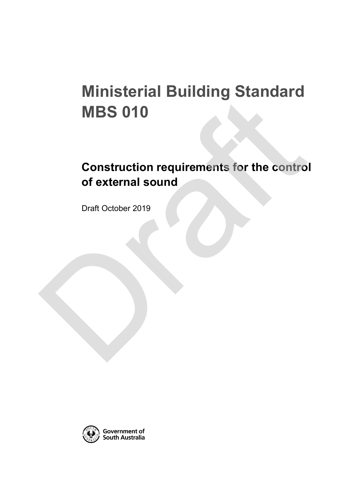# **Ministerial Building Standard MBS 010**

# **Construction requirements for the control of external sound** MBS 010<br>Construction requirements for the contro<br>of external sound<br>Draft October 2019

Draft October 2019

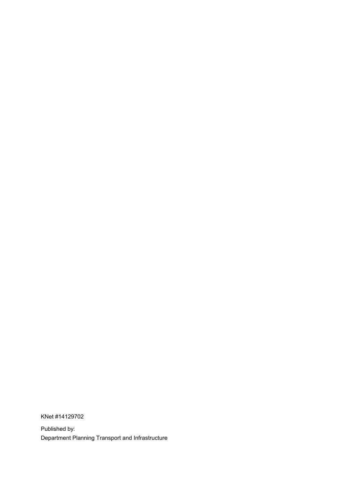KNet #14129702

Published by: Department Planning Transport and Infrastructure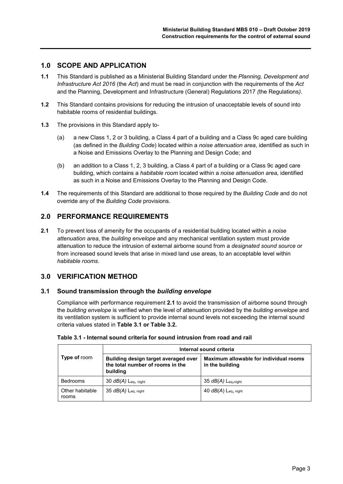# **1.0 SCOPE AND APPLICATION**

- **1.1** This Standard is published as a Ministerial Building Standard under the *Planning, Development and Infrastructure Act 2016* (the *Act*) and must be read in conjunction with the requirements of the *Act*  and the Planning, Development and Infrastructure (General) Regulations 2017 *(*the Regulations*)*.
- **1.2** This Standard contains provisions for reducing the intrusion of unacceptable levels of sound into habitable rooms of residential buildings.
- **1.3** The provisions in this Standard apply to-
	- (a) a new Class 1, 2 or 3 building, a Class 4 part of a building and a Class 9c aged care building (as defined in the *Building Code*) located within a *noise attenuation area*, identified as such in a Noise and Emissions Overlay to the Planning and Design Code; and
	- (b) an addition to a Class 1, 2, 3 building, a Class 4 part of a building or a Class 9c aged care building, which contains a *habitable room* located within a *noise attenuation area,* identified as such in a Noise and Emissions Overlay to the Planning and Design Code.
- **1.4** The requirements of this Standard are additional to those required by the *Building Code* and do not override any of the *Building Code* provisions.

# **2.0 PERFORMANCE REQUIREMENTS**

**2.1** To prevent loss of amenity for the occupants of a residential building located within a *noise attenuation area*, the *building envelope* and any mechanical ventilation system must provide attenuation to reduce the intrusion of external airborne sound from a *designated sound source* or from increased sound levels that arise in mixed land use areas*,* to an acceptable level within *habitable rooms*.

### **3.0 VERIFICATION METHOD**

#### **3.1 Sound transmission through the** *building envelope*

Compliance with performance requirement **2.1** to avoid the transmission of airborne sound through the *building envelope* is verified when the level of attenuation provided by the *building envelope* and its ventilation system is sufficient to provide internal sound levels not exceeding the internal sound criteria values stated in **Table 3.1 or Table 3.2.**

|                          | Internal sound criteria                                                              |                                                           |  |  |
|--------------------------|--------------------------------------------------------------------------------------|-----------------------------------------------------------|--|--|
| Type of room             | Building design target averaged over<br>the total number of rooms in the<br>building | Maximum allowable for individual rooms<br>in the building |  |  |
| <b>Bedrooms</b>          | 30 $dB(A)$ Leq, night                                                                | $35 dB(A)$ Leq, night                                     |  |  |
| Other habitable<br>rooms | 35 $dB(A)$ Leg, night                                                                | 40 $dB(A)$ Leg, night                                     |  |  |

#### **Table 3.1 - Internal sound criteria for sound intrusion from road and rail**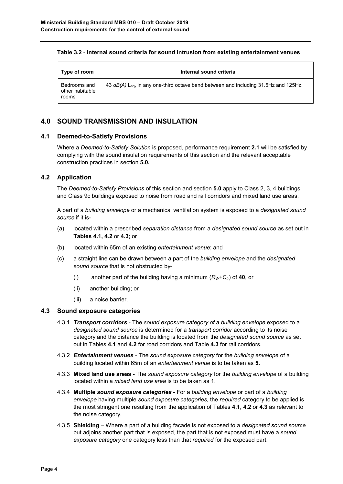#### **Table 3.2** - **Internal sound criteria for sound intrusion from existing entertainment venues**

| Type of room                             | Internal sound criteria                                                                         |
|------------------------------------------|-------------------------------------------------------------------------------------------------|
| Bedrooms and<br>other habitable<br>rooms | 43 dB(A) L <sub>eg</sub> , in any one-third octave band between and including 31.5Hz and 125Hz. |

# **4.0 SOUND TRANSMISSION AND INSULATION**

#### **4.1 Deemed-to-Satisfy Provisions**

Where a *Deemed-to-Satisfy Solution* is proposed, performance requirement **2.1** will be satisfied by complying with the sound insulation requirements of this section and the relevant acceptable construction practices in section **5.0.**

### **4.2 Application**

The *Deemed-to-Satisfy Provisions* of this section and section **5.0** apply to Class 2, 3, 4 buildings and Class 9c buildings exposed to noise from road and rail corridors and mixed land use areas.

A part of a *building envelope* or a mechanical ventilation system is exposed to a *designated sound source* if it is-

- (a) located within a prescribed *separation distance* from a *designated sound source* as set out in **Tables 4.1, 4.2** or **4.3**; or
- (b) located within 65m of an existing *entertainment venue*; and
- (c) a straight line can be drawn between a part of the *building envelope* and the *designated sound source* that is not obstructed by-
	- (i) another part of the building having a minimum  $(R_W+C_{tr})$  of **40**, or
	- (ii) another building; or
	- (iii) a noise barrier.

#### **4.3 Sound exposure categories**

- 4.3.1 *Transport corridors* The *sound exposure category of* a *building envelope* exposed to a *designated sound source* is determined for a *transport corridor* according to its noise category and the distance the building is located from the *designated sound source* as set out in Tables **4.1** and **4.2** for road corridors and Table **4.3** for rail corridors.
- 4.3.2 *Entertainment venues* The *sound exposure category* for the *building envelope* of a building located within 65m of an *entertainment venue* is to be taken as **5.**
- 4.3.3 **Mixed land use areas** *-* The *sound exposure category* for the *building envelope* of a building located within a *mixed land use area* is to be taken as 1.
- 4.3.4 **Multiple** *sound exposure categories* For a *building envelope* or part of a *building envelope* having multiple *sound exposure categories,* the *required* category to be applied is the most stringent one resulting from the application of Tables **4.1, 4.2** or **4.3** as relevant to the noise category.
- 4.3.5 **Shielding**  Where a part of a building facade is not exposed to a *designated sound source* but adjoins another part that is exposed, the part that is not exposed must have a *sound exposure category* one category less than that *required* for the exposed part.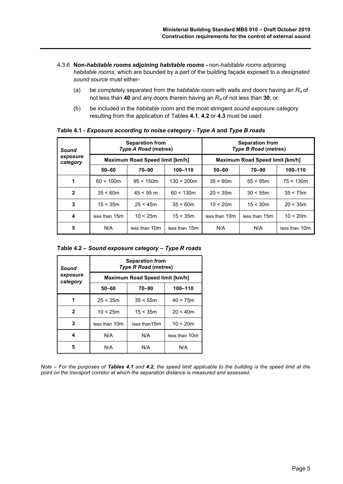- 4.3.6 **Non-***habitable rooms* **adjoining** *habitable rooms* **-** non-*habitable rooms* adjoining *habitable rooms*, which are bounded by a part of the building façade exposed to a *designated sound source* must either-
	- (a) be completely separated from the *habitable room* with walls and doors having an *Rw* of not less than **40** and any doors therein having an *Rw* of not less than **30**; or
	- (b) be included in the *habitable room* and the most stringent *sound exposure category* resulting from the application of Tables **4.1**, **4.2** or **4.3** must be used.

| Sound<br>exposure<br>category | <b>Separation from</b><br><b>Type A Road (metres)</b> |               |               | <b>Separation from</b><br><b>Type B Road (metres)</b> |               |               |  |
|-------------------------------|-------------------------------------------------------|---------------|---------------|-------------------------------------------------------|---------------|---------------|--|
|                               | <b>Maximum Road Speed limit [km/h]</b>                |               |               | Maximum Road Speed limit [km/h]                       |               |               |  |
|                               | $50 - 60$                                             | 70-90         | 100-110       | 70-90<br>$50 - 60$                                    |               | $100 - 110$   |  |
| 1                             | 60 < 100m                                             | 95 < 150m     | $130 < 200$ m | 35 < 60m                                              | 55 < 95m      | 75 < 130m     |  |
| $\mathbf{2}$                  | 35 < 60m                                              | $45 < 95$ m   | 60 < 130m     | 20 < 35m<br>30 < 55m                                  |               | 35 < 75m      |  |
| 3                             | 15 < 35m                                              | 25 < 45m      | 35 < 60m      | 10 < 20m                                              | 15 < 30m      | 20 < 35m      |  |
| 4                             | less than 15m                                         | 10 < 25m      | 15 < 35m      | less than 10m                                         | less than 15m | 10 < 20m      |  |
| 5                             | N/A                                                   | less than 10m | less than 15m | N/A                                                   | N/A           | less than 10m |  |

**Table 4.1 -** *Exposure according to noise category* **-** *Type A* **and** *Type B roads*

#### **Table 4.2 –** *Sound exposure category – Type R roads*

| Sound                | <b>Separation from</b><br><b>Type R Road (metres)</b> |               |               |  |  |
|----------------------|-------------------------------------------------------|---------------|---------------|--|--|
| exposure<br>category | Maximum Road Speed limit [km/h]                       |               |               |  |  |
|                      | $50 - 60$                                             | $70 - 90$     | 100-110       |  |  |
| 1                    | 25 < 35m                                              | 35 < 55m      | 40 < 75m      |  |  |
| $\mathbf{2}$         | 10 < 25m                                              | 15 < 35m      | 20 < 40m      |  |  |
| 3                    | less than 10m                                         | less than 15m | 10 < 20m      |  |  |
| 4                    | N/A                                                   | N/A           | less than 10m |  |  |
| 5                    | N/A                                                   | N/A           | N/A           |  |  |

*Note – For the purposes of Tables 4.1 and 4.2, the speed limit applicable to the building is the speed limit at the point on the transport corridor at which the separation distance is measured and assessed.*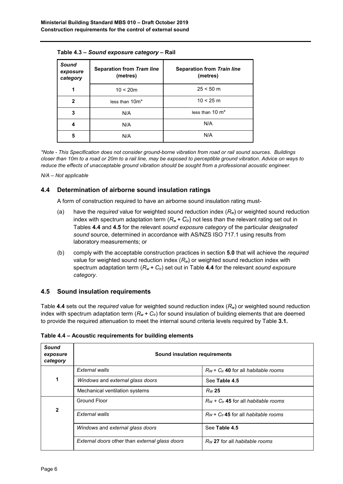| Sound<br>exposure<br>category | <b>Separation from Tram line</b><br>(metres) | <b>Separation from Train line</b><br>(metres) |
|-------------------------------|----------------------------------------------|-----------------------------------------------|
| 1                             | 10 < 20m                                     | $25 < 50 \text{ m}$                           |
| $\mathbf{2}$                  | less than 10m*                               | 10 < 25 m                                     |
| 3                             | N/A                                          | less than $10 \text{ m}^*$                    |
| 4                             | N/A                                          | N/A                                           |
| 5                             | N/A                                          | N/A                                           |

**Table 4.3 –** *Sound exposure category* **– Rail**

*\*Note - This Specification does not consider ground-borne vibration from road or rail sound sources. Buildings closer than 10m to a road or 20m to a rail line, may be exposed to perceptible ground vibration. Advice on ways to reduce the effects of unacceptable ground vibration should be sought from a professional acoustic engineer.*

*N/A – Not applicable*

### **4.4 Determination of airborne sound insulation ratings**

A form of construction required to have an airborne sound insulation rating must-

- (a) have the *required* value for weighted sound reduction index (*Rw*) or weighted sound reduction index with spectrum adaptation term  $(R_w + C_t)$  not less than the relevant rating set out in Tables **4.4** and **4.5** for the relevant *sound exposure category* of the particular *designated sound* source, determined in accordance with AS/NZS ISO 717.1 using results from laboratory measurements; or
- (b) comply with the acceptable construction practices in section **5.0** that will achieve the *required*  value for weighted sound reduction index (*Rw*) or weighted sound reduction index with spectrum adaptation term  $(R_w + C_t)$  set out in Table 4.4 for the relevant *sound exposure category*.

### **4.5 Sound insulation requirements**

Table **4.4** sets out the *required* value for weighted sound reduction index (*Rw*) or weighted sound reduction index with spectrum adaptation term  $(R_w + C_{tr})$  for sound insulation of building elements that are deemed to provide the required attenuation to meet the internal sound criteria levels required by Table **3.1.**

| Sound<br>exposure<br>category | Sound insulation requirements                  |                                             |  |  |
|-------------------------------|------------------------------------------------|---------------------------------------------|--|--|
|                               | External walls                                 | $R_W$ + $C_{tr}$ 40 for all habitable rooms |  |  |
| 1                             | Windows and external glass doors               | See Table 4.5                               |  |  |
|                               | Mechanical ventilation systems                 | Rw25                                        |  |  |
|                               | <b>Ground Floor</b>                            | $R_W$ + $C_{tr}$ 45 for all habitable rooms |  |  |
| $\mathbf{2}$                  | External walls                                 | $R_W$ + $C_{tr}$ 45 for all habitable rooms |  |  |
|                               | Windows and external glass doors               | See Table 4.5                               |  |  |
|                               | External doors other than external glass doors | Rw 27 for all habitable rooms               |  |  |

**Table 4.4 – Acoustic requirements for building elements**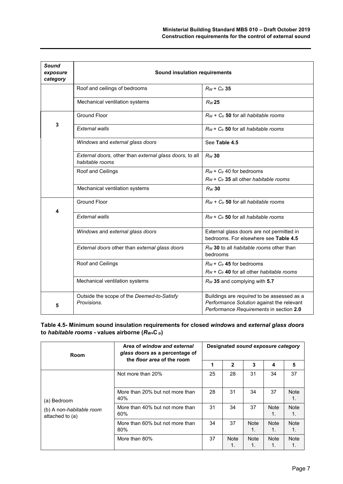| <b>Sound</b><br>exposure<br>category | Sound insulation requirements                                              |                                                                                                                                    |  |  |  |  |
|--------------------------------------|----------------------------------------------------------------------------|------------------------------------------------------------------------------------------------------------------------------------|--|--|--|--|
|                                      | Roof and ceilings of bedrooms                                              | $R_W$ + $C_{tr}$ 35                                                                                                                |  |  |  |  |
|                                      | Mechanical ventilation systems                                             | $R_W$ 25                                                                                                                           |  |  |  |  |
|                                      | <b>Ground Floor</b>                                                        | $R_W$ + $C_V$ 50 for all habitable rooms                                                                                           |  |  |  |  |
| 3                                    | <b>External walls</b>                                                      | $R_W$ + $C_{tr}$ 50 for all habitable rooms                                                                                        |  |  |  |  |
|                                      | Windows and external glass doors                                           | See Table 4.5                                                                                                                      |  |  |  |  |
|                                      | External doors, other than external glass doors, to all<br>habitable rooms | $R_W$ 30                                                                                                                           |  |  |  |  |
|                                      | Roof and Ceilings                                                          | $R_W$ + $C_{tr}$ 40 for bedrooms<br>$R_W$ + $C_{tr}$ 35 all other habitable rooms                                                  |  |  |  |  |
|                                      | Mechanical ventilation systems                                             | $R_W$ 30                                                                                                                           |  |  |  |  |
| 4                                    | <b>Ground Floor</b>                                                        | $R_W + C_t$ 50 for all habitable rooms                                                                                             |  |  |  |  |
|                                      | <b>External walls</b>                                                      | $R_W$ + $C_{tr}$ 50 for all habitable rooms                                                                                        |  |  |  |  |
|                                      | Windows and external glass doors                                           | External glass doors are not permitted in<br>bedrooms. For elsewhere see Table 4.5                                                 |  |  |  |  |
|                                      | External doors other than external glass doors                             | Rw 30 to all habitable rooms other than<br>bedrooms                                                                                |  |  |  |  |
|                                      | Roof and Ceilings                                                          | $R_W$ + $C_{tr}$ 45 for bedrooms<br>$R_W$ + $C_{tr}$ 40 for all other habitable rooms                                              |  |  |  |  |
|                                      | Mechanical ventilation systems                                             | $R_W$ 35 and complying with 5.7                                                                                                    |  |  |  |  |
| 5                                    | Outside the scope of the Deemed-to-Satisfy<br>Provisions.                  | Buildings are required to be assessed as a<br>Performance Solution against the relevant<br>Performance Requirements in section 2.0 |  |  |  |  |

**Table 4.5- Minimum sound insulation requirements for closed** *windows* **and** *external glass doors* **to** *habitable rooms -* **values airborne (***RW+***C** *tr***)**

| Room                                        | Area of window and external<br>glass doors as a percentage of<br>the floor area of the room | Designated sound exposure category |                   |                   |                   |                               |
|---------------------------------------------|---------------------------------------------------------------------------------------------|------------------------------------|-------------------|-------------------|-------------------|-------------------------------|
|                                             |                                                                                             | 1                                  | 2                 | 3                 | 4                 | 5                             |
|                                             | Not more than 20%                                                                           | 25                                 | 28                | 31                | 34                | 37                            |
| (a) Bedroom                                 | More than 20% but not more than<br>40%                                                      | 28                                 | 31                | 34                | 37                | Note<br>1.                    |
| (b) A non-habitable room<br>attached to (a) | More than 40% but not more than<br>$60\%$                                                   | 31                                 | 34                | 37                | <b>Note</b><br>1. | <b>Note</b><br>1.             |
|                                             | More than 60% but not more than<br>80%                                                      | 34                                 | 37                | <b>Note</b><br>1. | <b>Note</b><br>1. | <b>Note</b><br>$\mathbf{1}$ . |
|                                             | More than 80%                                                                               | 37                                 | <b>Note</b><br>1. | <b>Note</b><br>1. | <b>Note</b><br>1. | <b>Note</b><br>1.             |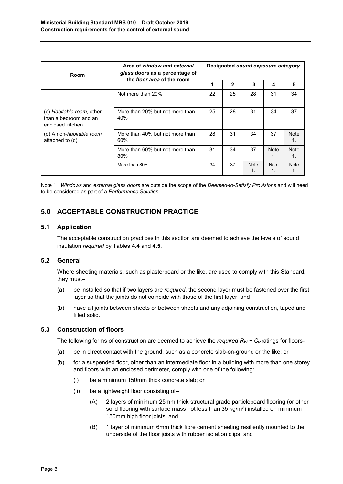| Room                                                                   | Area of window and external<br>glass doors as a percentage of<br>the floor area of the room | Designated sound exposure category |              |             |                   |                               |
|------------------------------------------------------------------------|---------------------------------------------------------------------------------------------|------------------------------------|--------------|-------------|-------------------|-------------------------------|
|                                                                        |                                                                                             | 1                                  | $\mathbf{2}$ | 3           | 4                 | 5                             |
|                                                                        | Not more than 20%                                                                           | 22                                 | 25           | 28          | 31                | 34                            |
| (c) Habitable room, other<br>than a bedroom and an<br>enclosed kitchen | More than 20% but not more than<br>40%                                                      | 25                                 | 28           | 31          | 34                | 37                            |
| (d) A non-habitable room<br>attached to (c)                            | More than 40% but not more than<br>$60\%$                                                   | 28                                 | 31           | 34          | 37                | Note<br>1.                    |
|                                                                        | More than 60% but not more than<br>$80\%$                                                   | 31                                 | 34           | 37          | Note<br>1.        | <b>Note</b><br>1 <sub>1</sub> |
|                                                                        | More than 80%                                                                               | 34                                 | 37           | <b>Note</b> | <b>Note</b><br>1. | <b>Note</b><br>1.             |

Note 1. *Windows* and *external glass doors* are outside the scope of the *Deemed-to-Satisfy Provisions* and will need to be considered as part of a *Performance Solution.*

# **5.0 ACCEPTABLE CONSTRUCTION PRACTICE**

### **5.1 Application**

The acceptable construction practices in this section are deemed to achieve the levels of sound insulation *required* by Tables **4.4** and **4.5**.

### **5.2 General**

Where sheeting materials, such as plasterboard or the like, are used to comply with this Standard, they must–

- (a) be installed so that if two layers are *required*, the second layer must be fastened over the first layer so that the joints do not coincide with those of the first layer; and
- (b) have all joints between sheets or between sheets and any adjoining construction, taped and filled solid.

### **5.3 Construction of floors**

The following forms of construction are deemed to achieve the *required*  $R_W + C_t$  ratings for floors-

- (a) be in direct contact with the ground, such as a concrete slab-on-ground or the like; or
- (b) for a suspended floor, other than an intermediate floor in a building with more than one storey and floors with an enclosed perimeter, comply with one of the following:
	- (i) be a minimum 150mm thick concrete slab; or
	- (ii) be a lightweight floor consisting of–
		- (A) 2 layers of minimum 25mm thick structural grade particleboard flooring (or other solid flooring with surface mass not less than  $35$  kg/m<sup>2</sup>) installed on minimum 150mm high floor joists; and
		- (B) 1 layer of minimum 6mm thick fibre cement sheeting resiliently mounted to the underside of the floor joists with rubber isolation clips; and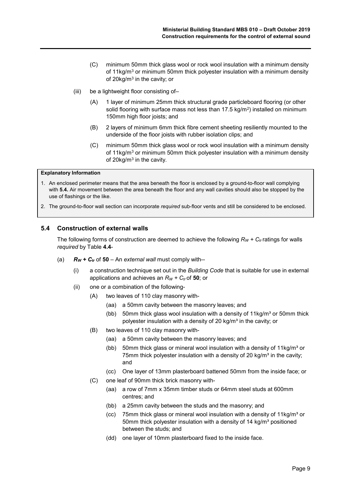- (C) minimum 50mm thick glass wool or rock wool insulation with a minimum density of 11kg/m<sup>3</sup> or minimum 50mm thick polyester insulation with a minimum density of 20kg/m3 in the cavity; or
- (iii) be a lightweight floor consisting of–
	- (A) 1 layer of minimum 25mm thick structural grade particleboard flooring (or other solid flooring with surface mass not less than  $17.5 \text{ kg/m}^2$ ) installed on minimum 150mm high floor joists; and
	- (B) 2 layers of minimum 6mm thick fibre cement sheeting resiliently mounted to the underside of the floor joists with rubber isolation clips; and
	- (C) minimum 50mm thick glass wool or rock wool insulation with a minimum density of 11kg/ $m<sup>3</sup>$  or minimum 50mm thick polyester insulation with a minimum density of 20kg/m<sup>3</sup> in the cavity.

#### **Explanatory Information**

- 1. An enclosed perimeter means that the area beneath the floor is enclosed by a ground-to-floor wall complying with **5.4.** Air movement between the area beneath the floor and any wall cavities should also be stopped by the use of flashings or the like.
- 2. The ground-to-floor wall section can incorporate *required* sub-floor vents and still be considered to be enclosed.

#### **5.4 Construction of external walls**

The following forms of construction are deemed to achieve the following  $R_W + C_t$  ratings for walls *required* by Table **4.4**-

- (a) *RW + Ctr* of **50** An *external wall* must comply with--
	- (i) a construction technique set out in the *Building Code* that is suitable for use in external applications and achieves an  $R_W + C_{tr}$  of 50; or
	- (ii) one or a combination of the following-
		- (A) two leaves of 110 clay masonry with-
			- (aa) a 50mm cavity between the masonry leaves; and
			- (bb) 50mm thick glass wool insulation with a density of  $11kg/m<sup>3</sup>$  or 50mm thick polyester insulation with a density of 20 kg/ $m<sup>3</sup>$  in the cavity; or
		- (B) two leaves of 110 clay masonry with-
			- (aa) a 50mm cavity between the masonry leaves; and
			- (bb) 50mm thick glass or mineral wool insulation with a density of  $11kg/m<sup>3</sup>$  or 75mm thick polyester insulation with a density of 20 kg/ $m<sup>3</sup>$  in the cavity; and
			- (cc) One layer of 13mm plasterboard battened 50mm from the inside face; or
		- (C) one leaf of 90mm thick brick masonry with-
			- (aa) a row of 7mm x 35mm timber studs or 64mm steel studs at 600mm centres; and
			- (bb) a 25mm cavity between the studs and the masonry; and
			- (cc) 75mm thick glass or mineral wool insulation with a density of  $11 \text{kg/m}^3$  or 50mm thick polyester insulation with a density of 14 kg/m<sup>3</sup> positioned between the studs; and
			- (dd) one layer of 10mm plasterboard fixed to the inside face.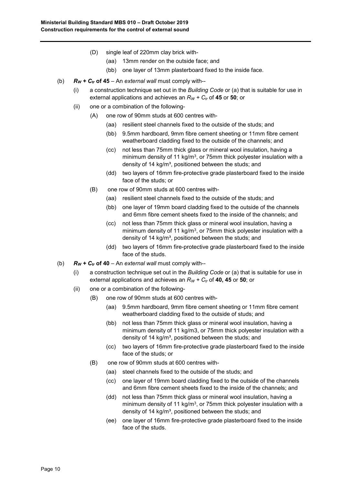- (D) single leaf of 220mm clay brick with-
	- (aa) 13mm render on the outside face; and
	- (bb) one layer of 13mm plasterboard fixed to the inside face.
- (b) *RW + Ctr* **of 45** An *external wall* must comply with--
	- (i) a construction technique set out in the *Building Code* or (a) that is suitable for use in external applications and achieves an  $R_W + C_t$  of 45 or 50; or
	- (ii) one or a combination of the following-
		- (A) one row of 90mm studs at 600 centres with-
			- (aa) resilient steel channels fixed to the outside of the studs; and
			- (bb) 9.5mm hardboard, 9mm fibre cement sheeting or 11mm fibre cement weatherboard cladding fixed to the outside of the channels; and
			- (cc) not less than 75mm thick glass or mineral wool insulation, having a minimum density of 11 kg/m<sup>3</sup>, or 75mm thick polyester insulation with a density of 14 kg/ $m<sup>3</sup>$ , positioned between the studs; and
			- (dd) two layers of 16mm fire-protective grade plasterboard fixed to the inside face of the studs; or
		- (B) one row of 90mm studs at 600 centres with-
			- (aa) resilient steel channels fixed to the outside of the studs; and
			- (bb) one layer of 19mm board cladding fixed to the outside of the channels and 6mm fibre cement sheets fixed to the inside of the channels; and
			- (cc) not less than 75mm thick glass or mineral wool insulation, having a minimum density of 11 kg/m<sup>3</sup>, or 75mm thick polyester insulation with a density of 14 kg/m<sup>3</sup>, positioned between the studs; and
			- (dd) two layers of 16mm fire-protective grade plasterboard fixed to the inside face of the studs.
- (b)  $R_W + C_t$  of 40 An external wall must comply with--
	- (i) a construction technique set out in the *Building Code* or (a) that is suitable for use in external applications and achieves an  $R_W + C_t$  of **40, 45** or 50; or
	- (ii) one or a combination of the following-
		- (B) one row of 90mm studs at 600 centres with-
			- (aa) 9.5mm hardboard, 9mm fibre cement sheeting or 11mm fibre cement weatherboard cladding fixed to the outside of studs; and
			- (bb) not less than 75mm thick glass or mineral wool insulation, having a minimum density of 11 kg/m3, or 75mm thick polyester insulation with a density of 14 kg/m<sup>3</sup>, positioned between the studs; and
			- (cc) two layers of 16mm fire-protective grade plasterboard fixed to the inside face of the studs; or
		- (B) one row of 90mm studs at 600 centres with-
			- (aa) steel channels fixed to the outside of the studs; and
			- (cc) one layer of 19mm board cladding fixed to the outside of the channels and 6mm fibre cement sheets fixed to the inside of the channels; and
			- (dd) not less than 75mm thick glass or mineral wool insulation, having a minimum density of 11 kg/m<sup>3</sup>, or 75mm thick polyester insulation with a density of 14 kg/m<sup>3</sup>, positioned between the studs; and
			- (ee) one layer of 16mm fire-protective grade plasterboard fixed to the inside face of the studs.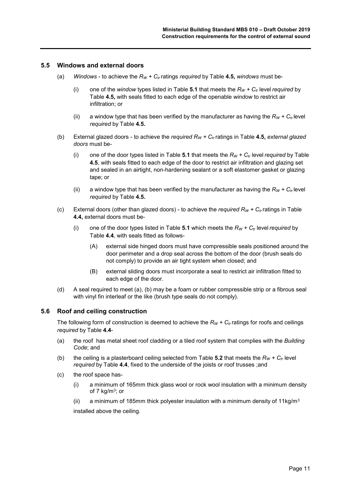#### **5.5 Windows and external doors**

- (a) *Windows to achieve the*  $R_W$  *+*  $C_t$  *ratings <i>required* by Table 4.5, *windows* must be-
	- (i) one of the *window* types listed in Table 5.1 that meets the  $R_W + C_t$  level *required* by Table **4.5,** with seals fitted to each edge of the openable *window* to restrict air infiltration; or
	- (ii) a window type that has been verified by the manufacturer as having the  $R_W + C_t$  level *required* by Table **4.5.**
- (b) External glazed doors to achieve the *required*  $R_W + C_t$  ratings in Table 4.5, external glazed *doors* must be-
	- (i) one of the door types listed in Table 5.1 that meets the  $R_W + C_t$  level *required* by Table **4.5**, with seals fitted to each edge of the door to restrict air infiltration and glazing set and sealed in an airtight, non-hardening sealant or a soft elastomer gasket or glazing tape; or
	- (ii) a window type that has been verified by the manufacturer as having the  $R_W + C_t$  level *required* by Table **4.5.**
- (c) External doors (other than glazed doors) to achieve the *required*  $R_W + C_t$  ratings in Table **4.4,** external doors must be-
	- (i) one of the door types listed in Table **5.1** which meets the  $R_W + C_t$  level *required* by Table **4.4**, with seals fitted as follows-
		- (A) external side hinged doors must have compressible seals positioned around the door perimeter and a drop seal across the bottom of the door (brush seals do not comply) to provide an air tight system when closed; and
		- (B) external sliding doors must incorporate a seal to restrict air infiltration fitted to each edge of the door.
- (d) A seal required to meet (a), (b) may be a foam or rubber compressible strip or a fibrous seal with vinyl fin interleaf or the like (brush type seals do not comply).

#### **5.6 Roof and ceiling construction**

The following form of construction is deemed to achieve the  $R_W + C_t$  ratings for roofs and ceilings *required* by Table **4.4**-

- (a) the roof has metal sheet roof cladding or a tiled roof system that complies with the *Building Code*; and
- (b) the ceiling is a plasterboard ceiling selected from Table **5.2** that meets the  $R_W + C_t$  level *required* by Table **4.4**, fixed to the underside of the joists or roof trusses ;and
- (c) the roof space has-
	- (i) a minimum of 165mm thick glass wool or rock wool insulation with a minimum density of 7 kg/ $m^3$ ; or
	- (ii) a minimum of 185mm thick polyester insulation with a minimum density of 11kg/m<sup>3</sup>

installed above the ceiling.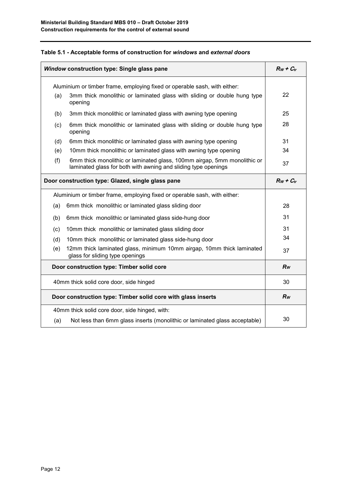| Table 5.1 - Acceptable forms of construction for windows and external doors |  |  |  |
|-----------------------------------------------------------------------------|--|--|--|
|-----------------------------------------------------------------------------|--|--|--|

|     | Window construction type: Single glass pane                                                                                                |                |  |
|-----|--------------------------------------------------------------------------------------------------------------------------------------------|----------------|--|
|     | Aluminium or timber frame, employing fixed or operable sash, with either:                                                                  |                |  |
| (a) | 3mm thick monolithic or laminated glass with sliding or double hung type<br>opening                                                        | 22             |  |
| (b) | 3mm thick monolithic or laminated glass with awning type opening                                                                           | 25             |  |
| (c) | 6mm thick monolithic or laminated glass with sliding or double hung type<br>opening                                                        | 28             |  |
| (d) | 6mm thick monolithic or laminated glass with awning type opening                                                                           | 31             |  |
| (e) | 10mm thick monolithic or laminated glass with awning type opening                                                                          | 34             |  |
| (f) | 6mm thick monolithic or laminated glass, 100mm airgap, 5mm monolithic or<br>laminated glass for both with awning and sliding type openings | 37             |  |
|     | Door construction type: Glazed, single glass pane                                                                                          | $R_W + C_{tr}$ |  |
|     | Aluminium or timber frame, employing fixed or operable sash, with either:                                                                  |                |  |
| (a) | 6mm thick monolithic or laminated glass sliding door                                                                                       | 28             |  |
| (b) | 6mm thick monolithic or laminated glass side-hung door                                                                                     | 31             |  |
| (c) | 10mm thick monolithic or laminated glass sliding door                                                                                      | 31             |  |
| (d) | 10mm thick monolithic or laminated glass side-hung door                                                                                    | 34             |  |
| (e) | 12mm thick laminated glass, minimum 10mm airgap, 10mm thick laminated<br>glass for sliding type openings                                   | 37             |  |
|     | Door construction type: Timber solid core                                                                                                  | $R_W$          |  |
|     | 40mm thick solid core door, side hinged                                                                                                    |                |  |
|     | Door construction type: Timber solid core with glass inserts                                                                               |                |  |
|     | 40mm thick solid core door, side hinged, with:                                                                                             |                |  |
| (a) | Not less than 6mm glass inserts (monolithic or laminated glass acceptable)                                                                 | 30             |  |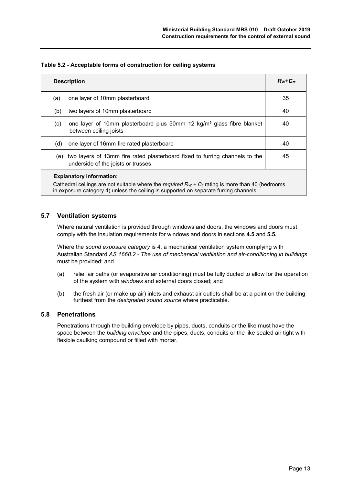#### **Table 5.2 - Acceptable forms of construction for ceiling systems**

| <b>Description</b>                                                                                                                                                                                                              |  | $Rw + C_{tr}$ |  |
|---------------------------------------------------------------------------------------------------------------------------------------------------------------------------------------------------------------------------------|--|---------------|--|
| one layer of 10mm plasterboard<br>(a)                                                                                                                                                                                           |  | 35            |  |
| two layers of 10mm plasterboard<br>(b)                                                                                                                                                                                          |  | 40            |  |
| one layer of 10mm plasterboard plus 50mm 12 kg/m <sup>3</sup> glass fibre blanket<br>(C)<br>between ceiling joists                                                                                                              |  | 40            |  |
| one layer of 16mm fire rated plasterboard<br>(d)                                                                                                                                                                                |  | 40            |  |
| two layers of 13mm fire rated plasterboard fixed to furring channels to the<br>(e)<br>underside of the joists or trusses                                                                                                        |  | 45            |  |
| <b>Explanatory information:</b><br>Cathedral ceilings are not suitable where the required $R_W + C_t$ rating is more than 40 (bedrooms<br>in exposure category 4) unless the ceiling is supported on separate furring channels. |  |               |  |

#### **5.7 Ventilation systems**

Where natural ventilation is provided through windows and doors, the windows and doors must comply with the insulation requirements for windows and doors in sections **4.5** and **5.5.**

Where the *sound exposure category* is 4, a mechanical ventilation system complying with Australian Standard *AS 1668.2 - The use of mechanical ventilation and air-conditioning in buildings* must be provided; and

- (a) relief air paths (or evaporative air conditioning) must be fully ducted to allow for the operation of the system with *windows* and external doors closed; and
- (b) the fresh air (or make up air) inlets and exhaust air outlets shall be at a point on the building furthest from the *designated sound source* where practicable.

#### **5.8 Penetrations**

Penetrations through the building envelope by pipes, ducts, conduits or the like must have the space between the *building envelope* and the pipes, ducts, conduits or the like sealed air tight with flexible caulking compound or filled with mortar.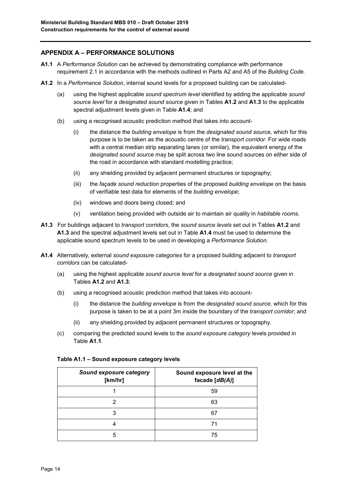## **APPENDIX A – PERFORMANCE SOLUTIONS**

- **A1.1** A *Performance Solution* can be achieved by demonstrating compliance with performance requirement 2.1 in accordance with the methods outlined in Parts A2 and A5 of the *Building Code.*
- **A1.2** In a *Performance Solution*, internal sound levels for a proposed building can be calculated-
	- (a) using the highest applicable *sound spectrum level* identified by adding the applicable *sound source level* for a *designated sound source* given in Tables **A1.2** and **A1.3** to the applicable spectral adjustment levels given in Table **A1.4**; and
	- (b) using a recognised acoustic prediction method that takes into account-
		- (i) the distance the *building envelope* is from the *designated sound source*, which for this purpose is to be taken as the acoustic centre of the *transport corridor.* For wide roads with a central median strip separating lanes (or similar), the equivalent energy of the *designated sound source* may be split across two line sound sources on either side of the road in accordance with standard modelling practice;
		- (ii) any shielding provided by adjacent permanent structures or topography;
		- (iii) the *façade sound reduction* properties of the proposed *building envelope* on the basis of verifiable test data for elements of the *building envelope*;
		- (iv) windows and doors being closed; and
		- (v) ventilation being provided with outside air to maintain air quality in *habitable rooms*.
- **A1.3** For buildings adjacent to *transport corridors*, the *sound source levels* set out in Tables **A1.2** and **A1.3** and the spectral adjustment levels set out in Table **A1.4** must be used to determine the applicable sound spectrum levels to be used in developing a *Performance Solution.*
- **A1.4** Alternatively, external *sound exposure categories* for a proposed building adjacent to *transport corridors* can be calculated-
	- (a) using the highest applicable *sound source level* for a *designated sound source* given in Tables **A1.2** and **A1.3**;
	- (b) using a recognised acoustic prediction method that takes into account-
		- (i) the distance the *building envelope* is from the *designated sound source,* which for this purpose is taken to be at a point 3m inside the boundary of the *transport corridor*; and
		- (ii) any shielding provided by adjacent permanent structures or topography.
	- (c) comparing the predicted sound levels to the *sound exposure category* levels provided in Table **A1.1**.

| Sound exposure category<br>[km/hr] | Sound exposure level at the<br>facade [dB(A)] |
|------------------------------------|-----------------------------------------------|
|                                    | 59                                            |
| 2                                  | 63                                            |
|                                    | 67                                            |
|                                    | 71                                            |
|                                    | 75                                            |

#### **Table A1.1 – Sound exposure category levels**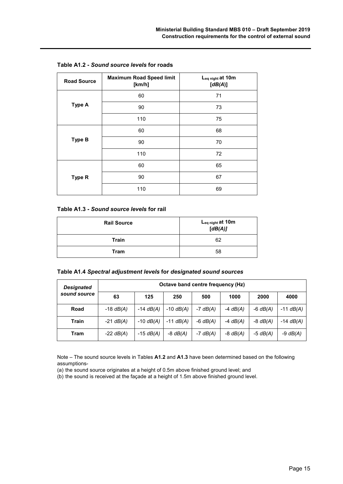| <b>Road Source</b> | <b>Maximum Road Speed limit</b><br>[km/h] | L <sub>eq night</sub> at 10m<br>[dB(A)] |
|--------------------|-------------------------------------------|-----------------------------------------|
|                    | 60                                        | 71                                      |
| <b>Type A</b>      | 90                                        | 73                                      |
|                    | 110                                       | 75                                      |
| <b>Type B</b>      | 60                                        | 68                                      |
|                    | 90                                        | 70                                      |
|                    | 110                                       | 72                                      |
|                    | 60                                        | 65                                      |
| Type R             | 90                                        | 67                                      |
|                    | 110                                       | 69                                      |

#### **Table A1.3 -** *Sound source levels* **for rail**

| <b>Rail Source</b> | L <sub>eq night</sub> at 10m<br>[dB(A)] |
|--------------------|-----------------------------------------|
| <b>Train</b>       | 62                                      |
| <b>Tram</b>        | 58                                      |

| <b>Designated</b> | Octave band centre frequency (Hz) |             |             |            |            |            |             |
|-------------------|-----------------------------------|-------------|-------------|------------|------------|------------|-------------|
| sound source      | 63                                | 125         | 250         | 500        | 1000       | 2000       | 4000        |
| Road              | $-18$ dB(A)                       | $-14$ dB(A) | $-10$ dB(A) | $-7$ dB(A) | $-4$ dB(A) | $-6$ dB(A) | $-11$ dB(A) |
| <b>Train</b>      | $-21$ dB(A)                       | $-10$ dB(A) | $-11$ dB(A) | $-6$ dB(A) | $-4$ dB(A) | $-8$ dB(A) | $-14$ dB(A) |
| Tram              | $-22$ dB(A)                       | $-15$ dB(A) | $-8$ dB(A)  | $-7$ dB(A) | $-8$ dB(A) | $-5$ dB(A) | $-9$ dB(A)  |

Note – The sound source levels in Tables **A1.2** and **A1.3** have been determined based on the following assumptions-

(a) the sound source originates at a height of 0.5m above finished ground level; and

(b) the sound is received at the façade at a height of 1.5m above finished ground level.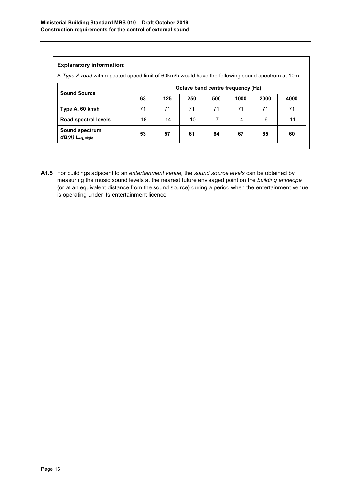#### **Explanatory information:**

A *Type A road* with a posted speed limit of 60km/h would have the following sound spectrum at 10m.

| <b>Sound Source</b>                  | Octave band centre frequency (Hz) |       |       |      |      |      |       |
|--------------------------------------|-----------------------------------|-------|-------|------|------|------|-------|
|                                      | 63                                | 125   | 250   | 500  | 1000 | 2000 | 4000  |
| Type A, 60 km/h                      | 71                                | 71    | 71    | 71   | 71   | 71   | 71    |
| Road spectral levels                 | $-18$                             | $-14$ | $-10$ | $-7$ | -4   | -6   | $-11$ |
| Sound spectrum<br>$dB(A)$ Leq, night | 53                                | 57    | 61    | 64   | 67   | 65   | 60    |

**A1.5** For buildings adjacent to an *entertainment venue,* the *sound source levels* can be obtained by measuring the music sound levels at the nearest future envisaged point on the *building envelope*  (or at an equivalent distance from the sound source) during a period when the entertainment venue is operating under its entertainment licence.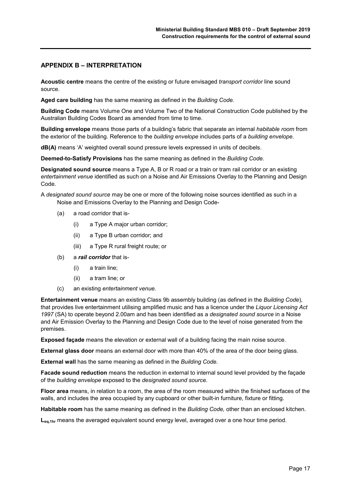#### **APPENDIX B – INTERPRETATION**

**Acoustic centre** means the centre of the existing or future envisaged *transport corridor* line sound source.

**Aged care building** has the same meaning as defined in the *Building Code.*

**Building Code** means Volume One and Volume Two of the National Construction Code published by the Australian Building Codes Board as amended from time to time.

**Building envelope** means those parts of a building's fabric that separate an internal *habitable room* from the exterior of the building. Reference to the *building envelope* includes parts of a *building envelope.*

**dB(A)** means 'A' weighted overall sound pressure levels expressed in units of decibels.

**Deemed-to-Satisfy Provisions** has the same meaning as defined in the *Building Code.*

**Designated sound source** means a Type A, B or R road or a train or tram rail corridor or an existing *entertainment venue* identified as such on a Noise and Air Emissions Overlay to the Planning and Design Code.

A *designated sound source* may be one or more of the following noise sources identified as such in a Noise and Emissions Overlay to the Planning and Design Code-

- (a) a road corridor that is-
	- (i) a Type A major urban corridor;
	- (ii) a Type B urban corridor; and
	- (iii) a Type R rural freight route; or
- (b) a *rail corridor* that is-
	- (i) a train line;
	- (ii) a tram line; or
- (c) an existing *entertainment venue.*

**Entertainment venue** means an existing Class 9b assembly building (as defined in the *Building Code*)*,*  that provides live entertainment utilising amplified music and has a licence under the *Liquor Licensing Act 1997* (SA) to operate beyond 2.00am and has been identified as a *designated sound source* in a Noise and Air Emission Overlay to the Planning and Design Code due to the level of noise generated from the premises.

**Exposed façade** means the elevation or external wall of a building facing the main noise source.

**External glass door** means an external door with more than 40% of the area of the door being glass.

**External wall** has the same meaning as defined in the *Building Code.*

**Facade sound reduction** means the reduction in external to internal sound level provided by the façade of the *building envelope* exposed to the *designated sound source*.

**Floor area** means, in relation to a room, the area of the room measured within the finished surfaces of the walls, and includes the area occupied by any cupboard or other built-in furniture, fixture or fitting.

**Habitable room** has the same meaning as defined in the *Building Code,* other than an enclosed kitchen.

**Leq,1hr** means the averaged equivalent sound energy level, averaged over a one hour time period.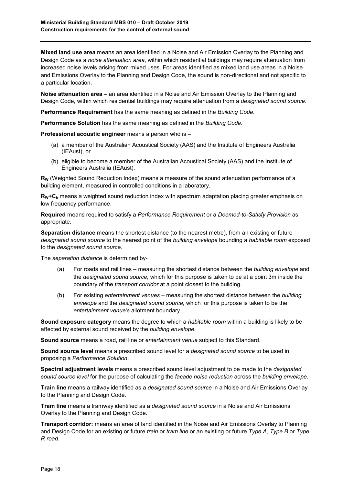**Mixed land use area** means an area identified in a Noise and Air Emission Overlay to the Planning and Design Code as a *noise attenuation area*, within which residential buildings may require attenuation from increased noise levels arising from mixed uses. For areas identified as mixed land use areas in a Noise and Emissions Overlay to the Planning and Design Code, the sound is non-directional and not specific to a particular location.

**Noise attenuation area –** an area identified in a Noise and Air Emission Overlay to the Planning and Design Code, within which residential buildings may require attenuation from a *designated sound source*.

**Performance Requirement** has the same meaning as defined in the *Building Code.*

**Performance Solution** has the same meaning as defined in the *Building Code.*

**Professional acoustic engineer** means a person who is –

- (a) a member of the Australian Acoustical Society (AAS) and the Institute of Engineers Australia (IEAust), or
- (b) eligible to become a member of the Australian Acoustical Society (AAS) and the Institute of Engineers Australia (IEAust).

**RW** (Weighted Sound Reduction Index) means a measure of the sound attenuation performance of a building element, measured in controlled conditions in a laboratory.

**RW+Ctr** means a weighted sound reduction index with spectrum adaptation placing greater emphasis on low frequency performance.

**Required** means required to satisfy a *Performance Requirement* or a *Deemed-to-Satisfy Provision* as appropriate.

**Separation distance** means the shortest distance (to the nearest metre), from an existing or future *designated sound source* to the nearest point of the *building envelope* bounding a *habitable room* exposed to the *designated sound source.*

The *separation distance* is determined by-

- (a) For roads and rail lines measuring the shortest distance between the *building envelope* and the *designated sound source,* which for this purpose is taken to be at a point 3m inside the boundary of the *transport corridor* at a point closest to the building.
- (b) For existing *entertainment venues* measuring the shortest distance between the *building envelope* and the *designated sound source,* which for this purpose is taken to be the *entertainment venue's* allotment boundary.

**Sound exposure category** means the degree to which a *habitable room* within a building is likely to be affected by external sound received by the *building envelope*.

**Sound source** means a road, rail line or *entertainment venue* subject to this Standard.

**Sound source level** means a prescribed sound level for a *designated sound source* to be used in proposing a *Performance Solution*.

**Spectral adjustment levels** means a prescribed sound level adjustment to be made to the *designated sound source level* for the purpose of calculating the *facade noise reduction* across the *building envelope*.

**Train line** means a railway identified as a *designated sound source* in a Noise and Air Emissions Overlay to the Planning and Design Code.

**Tram line** means a tramway identified as a *designated sound source* in a Noise and Air Emissions Overlay to the Planning and Design Code.

**Transport corridor:** means an area of land identified in the Noise and Air Emissions Overlay to Planning and Design Code for an existing or future *train* or *tram line* or an existing or future *Type A, Type B* or *Type R road*.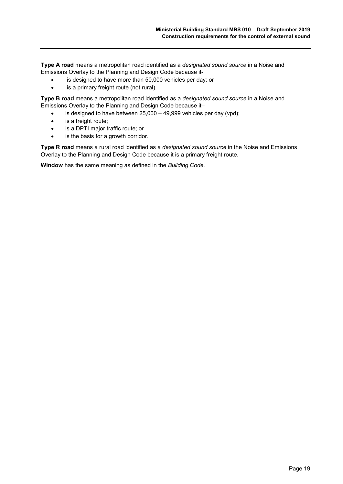**Type A road** means a metropolitan road identified as a *designated sound source* in a Noise and Emissions Overlay to the Planning and Design Code because it-

- is designed to have more than 50,000 vehicles per day; or
- is a primary freight route (not rural).

**Type B road** means a metropolitan road identified as a *designated sound source* in a Noise and Emissions Overlay to the Planning and Design Code because it–

- is designed to have between 25,000 49,999 vehicles per day (vpd);
- is a freight route;
- is a DPTI major traffic route; or
- is the basis for a growth corridor.

**Type R road** means a rural road identified as a *designated sound source* in the Noise and Emissions Overlay to the Planning and Design Code because it is a primary freight route.

**Window** has the same meaning as defined in the *Building Code.*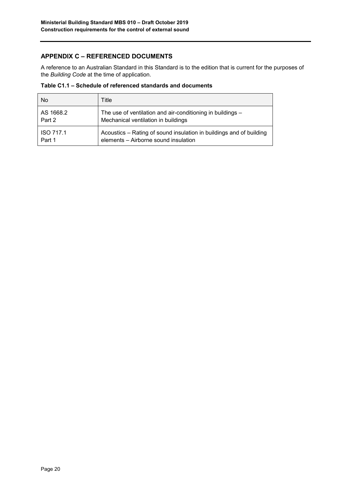# **APPENDIX C – REFERENCED DOCUMENTS**

A reference to an Australian Standard in this Standard is to the edition that is current for the purposes of the *Building Code* at the time of application.

**Table C1.1 – Schedule of referenced standards and documents**

| No.              | Title                                                               |
|------------------|---------------------------------------------------------------------|
| AS 1668.2        | The use of ventilation and air-conditioning in buildings -          |
| Part 2           | Mechanical ventilation in buildings                                 |
| <b>ISO 717.1</b> | Acoustics – Rating of sound insulation in buildings and of building |
| Part 1           | elements - Airborne sound insulation                                |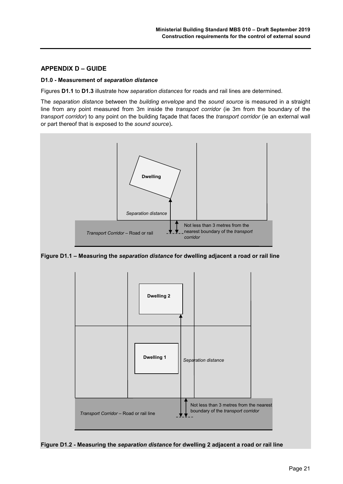# **APPENDIX D – GUIDE**

#### **D1.0 - Measurement of** *separation distance*

Figures **D1.1** to **D1.3** illustrate how *separation distances* for roads and rail lines are determined.

The *separation distance* between the *building envelope* and the *sound source* is measured in a straight line from any point measured from 3m inside the *transport corridor* (ie 3m from the boundary of the *transport corridor*) to any point on the building façade that faces the *transport corridor* (ie an external wall or part thereof that is exposed to the *sound source*)**.**



**Figure D1.1 – Measuring the** *separation distance* **for dwelling adjacent a road or rail line**



**Figure D1.2 - Measuring the** *separation distance* **for dwelling 2 adjacent a road or rail line**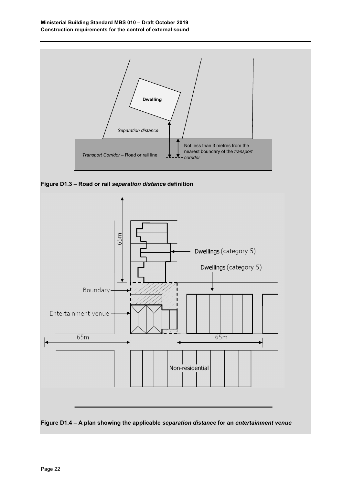

**Figure D1.3 – Road or rail** *separation distance* **definition**



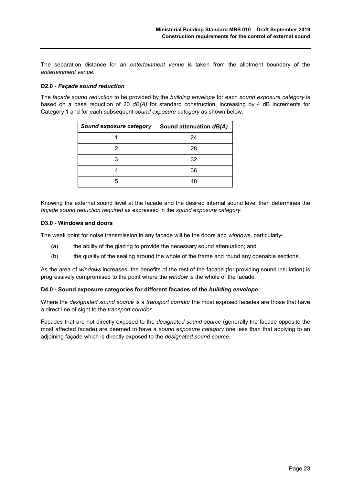The separation distance for an *entertainment venue* is taken from the allotment boundary of the *entertainment venue.*

#### **D2.0 -** *Façade sound reduction*

The *façade sound reduction* to be provided by the *building envelope* for each *sound exposure category* is based on a base reduction of 20 *dB(A)* for standard construction, increasing by 4 dB increments for Category 1 and for each subsequent *sound exposure category* as shown below.

| <b>Sound exposure category</b> | Sound attenuation dB(A) |
|--------------------------------|-------------------------|
|                                | 24                      |
|                                | 28                      |
|                                | 32                      |
|                                | 36                      |
|                                | 40                      |

Knowing the external sound level at the facade and the desired internal sound level then determines the *façade sound reduction required* as expressed in the *sound exposure category*.

#### **D3.0 - Windows and doors**

The weak point for noise transmission in any facade will be the doors and *window*s, particularly-

- (a) the ability of the glazing to provide the necessary sound attenuation; and
- (b) the quality of the sealing around the whole of the frame and round any openable sections.

As the area of *windows* increases, the benefits of the rest of the facade (for providing sound insulation) is progressively compromised to the point where the *window* is the whole of the facade.

#### **D4.0 - Sound exposure categories for different facades of the** *building envelope*

Where the *designated sound source* is a *transport corridor* the most exposed facades are those that have a direct line of sight to the *transport corridor*.

Facades that are not directly exposed to the *designated sound source* (generally the facade opposite the most affected facade) are deemed to have a *sound exposure category* one less than that applying to an adjoining façade which is directly exposed to the *designated sound source*.